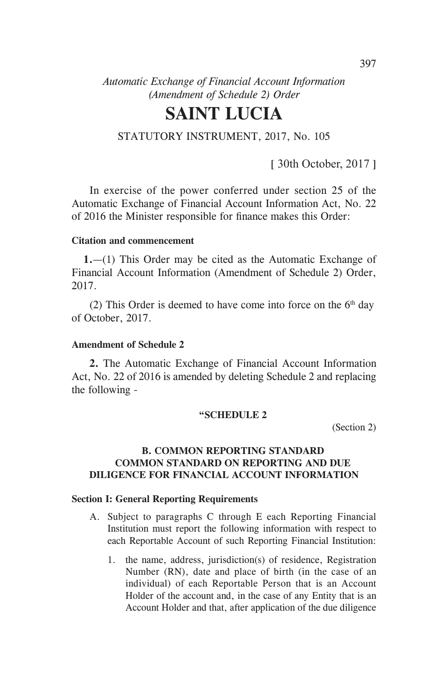# **SAINT LUCIA**

#### STATUTORY INSTRUMENT, 2017, No. 105

[ 30th October, 2017 ]

In exercise of the power conferred under section 25 of the Automatic Exchange of Financial Account Information Act, No. 22 of 2016 the Minister responsible for finance makes this Order:

#### **Citation and commencement**

**1.**—(1) This Order may be cited as the Automatic Exchange of Financial Account Information (Amendment of Schedule 2) Order, 2017.

(2) This Order is deemed to have come into force on the  $6<sup>th</sup>$  day of October, 2017.

#### **Amendment of Schedule 2**

**2.** The Automatic Exchange of Financial Account Information Act, No. 22 of 2016 is amended by deleting Schedule 2 and replacing the following -

#### **"SCHEDULE 2**

(Section 2)

#### **B. COMMON REPORTING STANDARD COMMON STANDARD ON REPORTING AND DUE DILIGENCE FOR FINANCIAL ACCOUNT INFORMATION**

#### **Section I: General Reporting Requirements**

- A. Subject to paragraphs C through E each Reporting Financial Institution must report the following information with respect to each Reportable Account of such Reporting Financial Institution:
	- 1. the name, address, jurisdiction(s) of residence, Registration Number (RN), date and place of birth (in the case of an individual) of each Reportable Person that is an Account Holder of the account and, in the case of any Entity that is an Account Holder and that, after application of the due diligence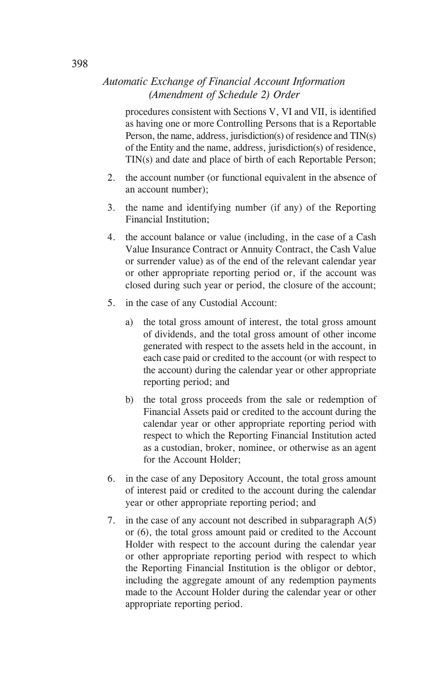procedures consistent with Sections V, VI and VII, is identified as having one or more Controlling Persons that is a Reportable Person, the name, address, jurisdiction(s) of residence and TIN(s) of the Entity and the name, address, jurisdiction(s) of residence, TIN(s) and date and place of birth of each Reportable Person;

- 2. the account number (or functional equivalent in the absence of an account number);
- 3. the name and identifying number (if any) of the Reporting Financial Institution;
- 4. the account balance or value (including, in the case of a Cash Value Insurance Contract or Annuity Contract, the Cash Value or surrender value) as of the end of the relevant calendar year or other appropriate reporting period or, if the account was closed during such year or period, the closure of the account;
- 5. in the case of any Custodial Account:
	- a) the total gross amount of interest, the total gross amount of dividends, and the total gross amount of other income generated with respect to the assets held in the account, in each case paid or credited to the account (or with respect to the account) during the calendar year or other appropriate reporting period; and
	- b) the total gross proceeds from the sale or redemption of Financial Assets paid or credited to the account during the calendar year or other appropriate reporting period with respect to which the Reporting Financial Institution acted as a custodian, broker, nominee, or otherwise as an agent for the Account Holder;
- 6. in the case of any Depository Account, the total gross amount of interest paid or credited to the account during the calendar year or other appropriate reporting period; and
- 7. in the case of any account not described in subparagraph A(5) or (6), the total gross amount paid or credited to the Account Holder with respect to the account during the calendar year or other appropriate reporting period with respect to which the Reporting Financial Institution is the obligor or debtor, including the aggregate amount of any redemption payments made to the Account Holder during the calendar year or other appropriate reporting period.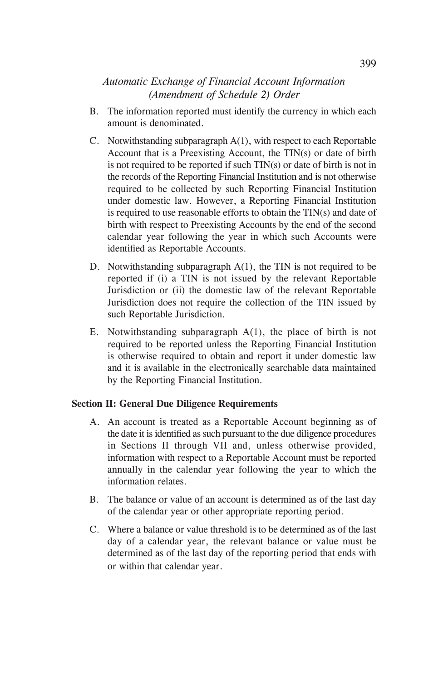- B. The information reported must identify the currency in which each amount is denominated.
- C. Notwithstanding subparagraph A(1), with respect to each Reportable Account that is a Preexisting Account, the TIN(s) or date of birth is not required to be reported if such TIN(s) or date of birth is not in the records of the Reporting Financial Institution and is not otherwise required to be collected by such Reporting Financial Institution under domestic law. However, a Reporting Financial Institution is required to use reasonable efforts to obtain the TIN(s) and date of birth with respect to Preexisting Accounts by the end of the second calendar year following the year in which such Accounts were identified as Reportable Accounts.
- D. Notwithstanding subparagraph A(1), the TIN is not required to be reported if (i) a TIN is not issued by the relevant Reportable Jurisdiction or (ii) the domestic law of the relevant Reportable Jurisdiction does not require the collection of the TIN issued by such Reportable Jurisdiction.
- E. Notwithstanding subparagraph A(1), the place of birth is not required to be reported unless the Reporting Financial Institution is otherwise required to obtain and report it under domestic law and it is available in the electronically searchable data maintained by the Reporting Financial Institution.

#### **Section II: General Due Diligence Requirements**

- A. An account is treated as a Reportable Account beginning as of the date it is identified as such pursuant to the due diligence procedures in Sections II through VII and, unless otherwise provided, information with respect to a Reportable Account must be reported annually in the calendar year following the year to which the information relates.
- B. The balance or value of an account is determined as of the last day of the calendar year or other appropriate reporting period.
- C. Where a balance or value threshold is to be determined as of the last day of a calendar year, the relevant balance or value must be determined as of the last day of the reporting period that ends with or within that calendar year.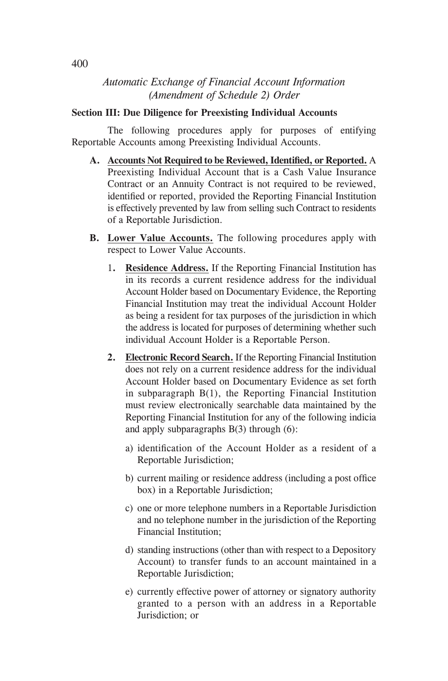#### **Section III: Due Diligence for Preexisting Individual Accounts**

The following procedures apply for purposes of entifying Reportable Accounts among Preexisting Individual Accounts.

- **A. Accounts Not Required to be Reviewed, Identified, or Reported.** A Preexisting Individual Account that is a Cash Value Insurance Contract or an Annuity Contract is not required to be reviewed, identified or reported, provided the Reporting Financial Institution is effectively prevented by law from selling such Contract to residents of a Reportable Jurisdiction.
- **B. Lower Value Accounts.** The following procedures apply with respect to Lower Value Accounts.
	- 1**. Residence Address.** If the Reporting Financial Institution has in its records a current residence address for the individual Account Holder based on Documentary Evidence, the Reporting Financial Institution may treat the individual Account Holder as being a resident for tax purposes of the jurisdiction in which the address is located for purposes of determining whether such individual Account Holder is a Reportable Person.
	- **2. Electronic Record Search.** If the Reporting Financial Institution does not rely on a current residence address for the individual Account Holder based on Documentary Evidence as set forth in subparagraph B(1), the Reporting Financial Institution must review electronically searchable data maintained by the Reporting Financial Institution for any of the following indicia and apply subparagraphs  $B(3)$  through  $(6)$ :
		- a) identification of the Account Holder as a resident of a Reportable Jurisdiction;
		- b) current mailing or residence address (including a post office box) in a Reportable Jurisdiction;
		- c) one or more telephone numbers in a Reportable Jurisdiction and no telephone number in the jurisdiction of the Reporting Financial Institution;
		- d) standing instructions (other than with respect to a Depository Account) to transfer funds to an account maintained in a Reportable Jurisdiction;
		- e) currently effective power of attorney or signatory authority granted to a person with an address in a Reportable Jurisdiction; or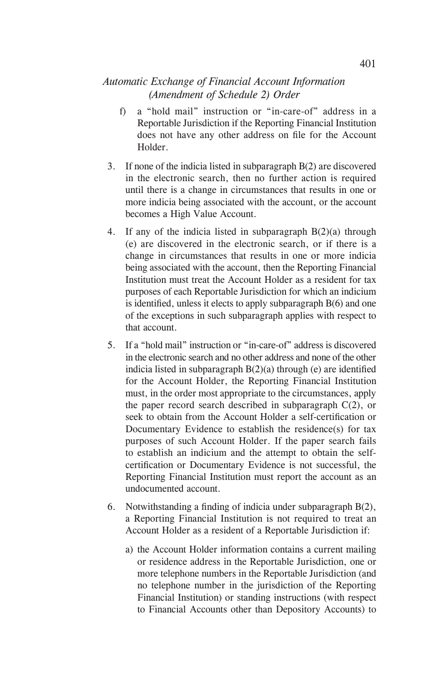- f) a "hold mail" instruction or "in-care-of" address in a Reportable Jurisdiction if the Reporting Financial Institution does not have any other address on file for the Account Holder.
- 3. If none of the indicia listed in subparagraph B(2) are discovered in the electronic search, then no further action is required until there is a change in circumstances that results in one or more indicia being associated with the account, or the account becomes a High Value Account.
- 4. If any of the indicia listed in subparagraph B(2)(a) through (e) are discovered in the electronic search, or if there is a change in circumstances that results in one or more indicia being associated with the account, then the Reporting Financial Institution must treat the Account Holder as a resident for tax purposes of each Reportable Jurisdiction for which an indicium is identified, unless it elects to apply subparagraph B(6) and one of the exceptions in such subparagraph applies with respect to that account.
- 5. If a "hold mail" instruction or "in-care-of" address is discovered in the electronic search and no other address and none of the other indicia listed in subparagraph B(2)(a) through (e) are identified for the Account Holder, the Reporting Financial Institution must, in the order most appropriate to the circumstances, apply the paper record search described in subparagraph C(2), or seek to obtain from the Account Holder a self-certification or Documentary Evidence to establish the residence(s) for tax purposes of such Account Holder. If the paper search fails to establish an indicium and the attempt to obtain the selfcertification or Documentary Evidence is not successful, the Reporting Financial Institution must report the account as an undocumented account.
- 6. Notwithstanding a finding of indicia under subparagraph B(2), a Reporting Financial Institution is not required to treat an Account Holder as a resident of a Reportable Jurisdiction if:
	- a) the Account Holder information contains a current mailing or residence address in the Reportable Jurisdiction, one or more telephone numbers in the Reportable Jurisdiction (and no telephone number in the jurisdiction of the Reporting Financial Institution) or standing instructions (with respect to Financial Accounts other than Depository Accounts) to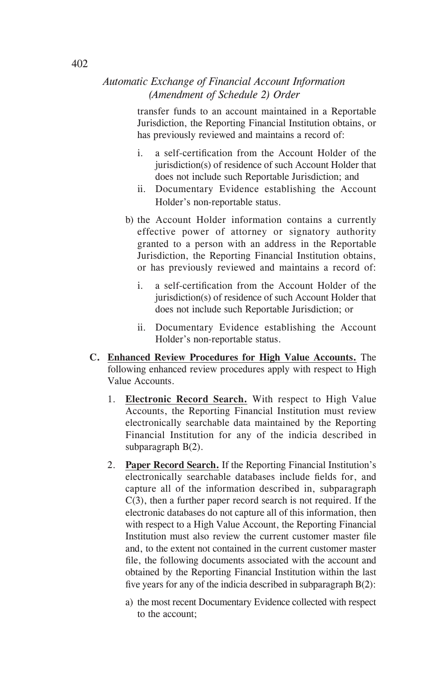transfer funds to an account maintained in a Reportable Jurisdiction, the Reporting Financial Institution obtains, or has previously reviewed and maintains a record of:

- i. a self-certification from the Account Holder of the jurisdiction(s) of residence of such Account Holder that does not include such Reportable Jurisdiction; and
- ii. Documentary Evidence establishing the Account Holder's non-reportable status.
- b) the Account Holder information contains a currently effective power of attorney or signatory authority granted to a person with an address in the Reportable Jurisdiction, the Reporting Financial Institution obtains, or has previously reviewed and maintains a record of:
	- i. a self-certification from the Account Holder of the jurisdiction(s) of residence of such Account Holder that does not include such Reportable Jurisdiction; or
	- ii. Documentary Evidence establishing the Account Holder's non-reportable status.
- **C. Enhanced Review Procedures for High Value Accounts.** The following enhanced review procedures apply with respect to High Value Accounts.
	- 1. **Electronic Record Search.** With respect to High Value Accounts, the Reporting Financial Institution must review electronically searchable data maintained by the Reporting Financial Institution for any of the indicia described in subparagraph B(2).
	- 2. **Paper Record Search.** If the Reporting Financial Institution's electronically searchable databases include fields for, and capture all of the information described in, subparagraph C(3), then a further paper record search is not required. If the electronic databases do not capture all of this information, then with respect to a High Value Account, the Reporting Financial Institution must also review the current customer master file and, to the extent not contained in the current customer master file, the following documents associated with the account and obtained by the Reporting Financial Institution within the last five years for any of the indicia described in subparagraph B(2):
		- a) the most recent Documentary Evidence collected with respect to the account;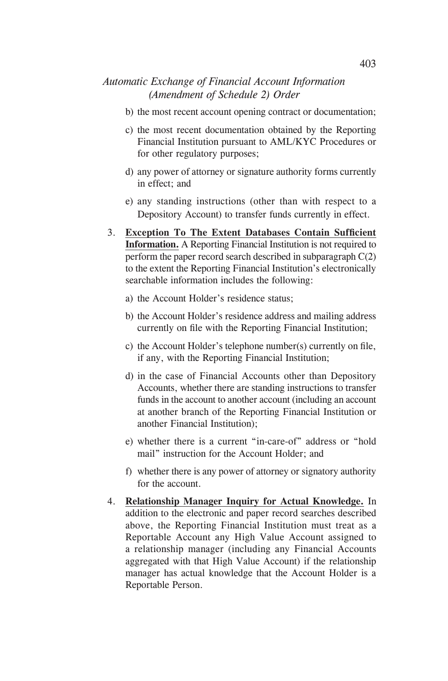- b) the most recent account opening contract or documentation;
- c) the most recent documentation obtained by the Reporting Financial Institution pursuant to AML/KYC Procedures or for other regulatory purposes;
- d) any power of attorney or signature authority forms currently in effect; and
- e) any standing instructions (other than with respect to a Depository Account) to transfer funds currently in effect.
- 3. **Exception To The Extent Databases Contain Sufficient Information.** A Reporting Financial Institution is not required to perform the paper record search described in subparagraph C(2) to the extent the Reporting Financial Institution's electronically searchable information includes the following:
	- a) the Account Holder's residence status;
	- b) the Account Holder's residence address and mailing address currently on file with the Reporting Financial Institution;
	- c) the Account Holder's telephone number(s) currently on file, if any, with the Reporting Financial Institution;
	- d) in the case of Financial Accounts other than Depository Accounts, whether there are standing instructions to transfer funds in the account to another account (including an account at another branch of the Reporting Financial Institution or another Financial Institution);
	- e) whether there is a current "in-care-of" address or "hold mail" instruction for the Account Holder; and
	- f) whether there is any power of attorney or signatory authority for the account.
- 4. **Relationship Manager Inquiry for Actual Knowledge.** In addition to the electronic and paper record searches described above, the Reporting Financial Institution must treat as a Reportable Account any High Value Account assigned to a relationship manager (including any Financial Accounts aggregated with that High Value Account) if the relationship manager has actual knowledge that the Account Holder is a Reportable Person.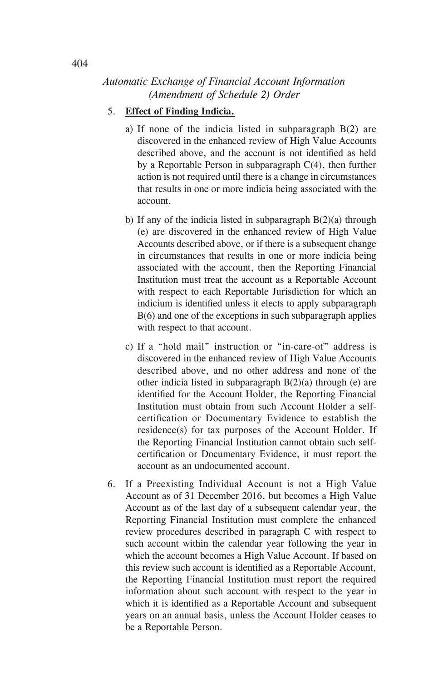- 5. **Effect of Finding Indicia.**
	- a) If none of the indicia listed in subparagraph B(2) are discovered in the enhanced review of High Value Accounts described above, and the account is not identified as held by a Reportable Person in subparagraph C(4), then further action is not required until there is a change in circumstances that results in one or more indicia being associated with the account.
	- b) If any of the indicia listed in subparagraph  $B(2)(a)$  through (e) are discovered in the enhanced review of High Value Accounts described above, or if there is a subsequent change in circumstances that results in one or more indicia being associated with the account, then the Reporting Financial Institution must treat the account as a Reportable Account with respect to each Reportable Jurisdiction for which an indicium is identified unless it elects to apply subparagraph B(6) and one of the exceptions in such subparagraph applies with respect to that account.
	- c) If a "hold mail" instruction or "in-care-of" address is discovered in the enhanced review of High Value Accounts described above, and no other address and none of the other indicia listed in subparagraph  $B(2)(a)$  through (e) are identified for the Account Holder, the Reporting Financial Institution must obtain from such Account Holder a selfcertification or Documentary Evidence to establish the residence(s) for tax purposes of the Account Holder. If the Reporting Financial Institution cannot obtain such selfcertification or Documentary Evidence, it must report the account as an undocumented account.
- 6. If a Preexisting Individual Account is not a High Value Account as of 31 December 2016, but becomes a High Value Account as of the last day of a subsequent calendar year, the Reporting Financial Institution must complete the enhanced review procedures described in paragraph C with respect to such account within the calendar year following the year in which the account becomes a High Value Account. If based on this review such account is identified as a Reportable Account, the Reporting Financial Institution must report the required information about such account with respect to the year in which it is identified as a Reportable Account and subsequent years on an annual basis, unless the Account Holder ceases to be a Reportable Person.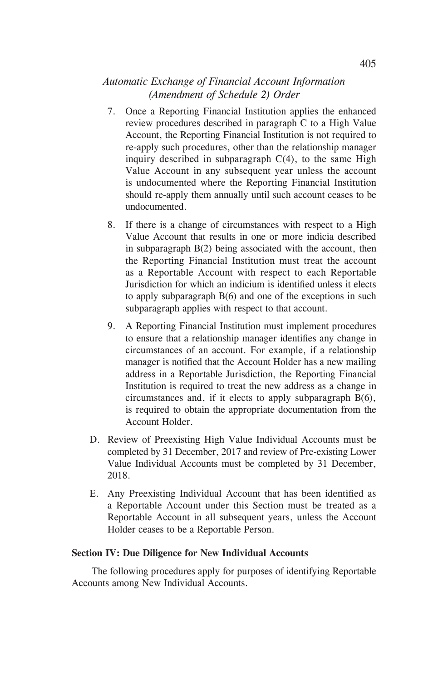- 7. Once a Reporting Financial Institution applies the enhanced review procedures described in paragraph C to a High Value Account, the Reporting Financial Institution is not required to re-apply such procedures, other than the relationship manager inquiry described in subparagraph  $C(4)$ , to the same High Value Account in any subsequent year unless the account is undocumented where the Reporting Financial Institution should re-apply them annually until such account ceases to be undocumented.
- 8. If there is a change of circumstances with respect to a High Value Account that results in one or more indicia described in subparagraph B(2) being associated with the account, then the Reporting Financial Institution must treat the account as a Reportable Account with respect to each Reportable Jurisdiction for which an indicium is identified unless it elects to apply subparagraph B(6) and one of the exceptions in such subparagraph applies with respect to that account.
- 9. A Reporting Financial Institution must implement procedures to ensure that a relationship manager identifies any change in circumstances of an account. For example, if a relationship manager is notified that the Account Holder has a new mailing address in a Reportable Jurisdiction, the Reporting Financial Institution is required to treat the new address as a change in circumstances and, if it elects to apply subparagraph B(6), is required to obtain the appropriate documentation from the Account Holder.
- D. Review of Preexisting High Value Individual Accounts must be completed by 31 December, 2017 and review of Pre-existing Lower Value Individual Accounts must be completed by 31 December, 2018.
- E. Any Preexisting Individual Account that has been identified as a Reportable Account under this Section must be treated as a Reportable Account in all subsequent years, unless the Account Holder ceases to be a Reportable Person.

#### **Section IV: Due Diligence for New Individual Accounts**

 The following procedures apply for purposes of identifying Reportable Accounts among New Individual Accounts.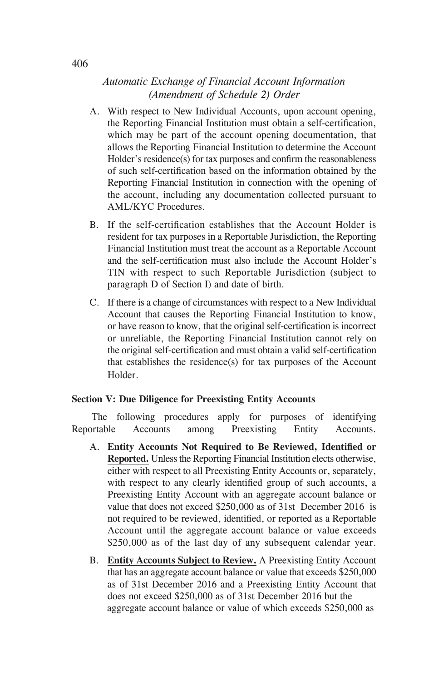- A. With respect to New Individual Accounts, upon account opening, the Reporting Financial Institution must obtain a self-certification, which may be part of the account opening documentation, that allows the Reporting Financial Institution to determine the Account Holder's residence(s) for tax purposes and confirm the reasonableness of such self-certification based on the information obtained by the Reporting Financial Institution in connection with the opening of the account, including any documentation collected pursuant to AML/KYC Procedures.
- B. If the self-certification establishes that the Account Holder is resident for tax purposes in a Reportable Jurisdiction, the Reporting Financial Institution must treat the account as a Reportable Account and the self-certification must also include the Account Holder's TIN with respect to such Reportable Jurisdiction (subject to paragraph D of Section I) and date of birth.
- C. If there is a change of circumstances with respect to a New Individual Account that causes the Reporting Financial Institution to know, or have reason to know, that the original self-certification is incorrect or unreliable, the Reporting Financial Institution cannot rely on the original self-certification and must obtain a valid self-certification that establishes the residence(s) for tax purposes of the Account Holder.

#### **Section V: Due Diligence for Preexisting Entity Accounts**

 The following procedures apply for purposes of identifying Reportable Accounts among Preexisting Entity Accounts.

- A. **Entity Accounts Not Required to Be Reviewed, Identified or Reported.** Unless the Reporting Financial Institution elects otherwise, either with respect to all Preexisting Entity Accounts or, separately, with respect to any clearly identified group of such accounts, a Preexisting Entity Account with an aggregate account balance or value that does not exceed \$250,000 as of 31st December 2016 is not required to be reviewed, identified, or reported as a Reportable Account until the aggregate account balance or value exceeds \$250,000 as of the last day of any subsequent calendar year.
- B. **Entity Accounts Subject to Review.** A Preexisting Entity Account that has an aggregate account balance or value that exceeds \$250,000 as of 31st December 2016 and a Preexisting Entity Account that does not exceed \$250,000 as of 31st December 2016 but the aggregate account balance or value of which exceeds \$250,000 as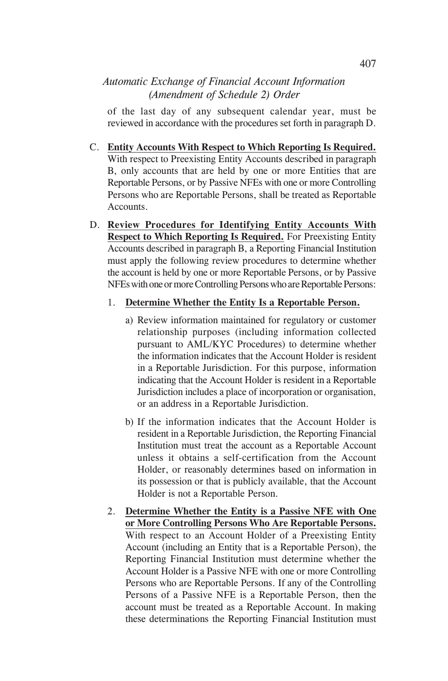of the last day of any subsequent calendar year, must be reviewed in accordance with the procedures set forth in paragraph D.

- C. **Entity Accounts With Respect to Which Reporting Is Required.**  With respect to Preexisting Entity Accounts described in paragraph B, only accounts that are held by one or more Entities that are Reportable Persons, or by Passive NFEs with one or more Controlling Persons who are Reportable Persons, shall be treated as Reportable Accounts.
- D. **Review Procedures for Identifying Entity Accounts With Respect to Which Reporting Is Required.** For Preexisting Entity Accounts described in paragraph B, a Reporting Financial Institution must apply the following review procedures to determine whether the account is held by one or more Reportable Persons, or by Passive NFEs with one or more Controlling Persons who are Reportable Persons:

#### 1. **Determine Whether the Entity Is a Reportable Person.**

- a) Review information maintained for regulatory or customer relationship purposes (including information collected pursuant to AML/KYC Procedures) to determine whether the information indicates that the Account Holder is resident in a Reportable Jurisdiction. For this purpose, information indicating that the Account Holder is resident in a Reportable Jurisdiction includes a place of incorporation or organisation, or an address in a Reportable Jurisdiction.
- b) If the information indicates that the Account Holder is resident in a Reportable Jurisdiction, the Reporting Financial Institution must treat the account as a Reportable Account unless it obtains a self-certification from the Account Holder, or reasonably determines based on information in its possession or that is publicly available, that the Account Holder is not a Reportable Person.
- 2. **Determine Whether the Entity is a Passive NFE with One or More Controlling Persons Who Are Reportable Persons.**  With respect to an Account Holder of a Preexisting Entity Account (including an Entity that is a Reportable Person), the Reporting Financial Institution must determine whether the Account Holder is a Passive NFE with one or more Controlling Persons who are Reportable Persons. If any of the Controlling Persons of a Passive NFE is a Reportable Person, then the account must be treated as a Reportable Account. In making these determinations the Reporting Financial Institution must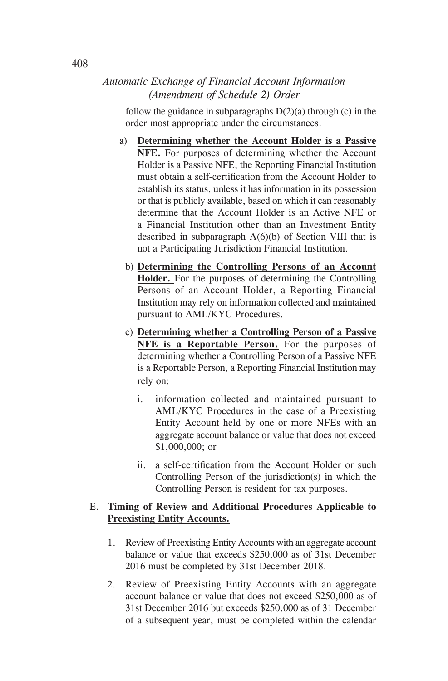follow the guidance in subparagraphs  $D(2)(a)$  through (c) in the order most appropriate under the circumstances.

- a) **Determining whether the Account Holder is a Passive NFE.** For purposes of determining whether the Account Holder is a Passive NFE, the Reporting Financial Institution must obtain a self-certification from the Account Holder to establish its status, unless it has information in its possession or that is publicly available, based on which it can reasonably determine that the Account Holder is an Active NFE or a Financial Institution other than an Investment Entity described in subparagraph A(6)(b) of Section VIII that is not a Participating Jurisdiction Financial Institution.
	- b) **Determining the Controlling Persons of an Account Holder.** For the purposes of determining the Controlling Persons of an Account Holder, a Reporting Financial Institution may rely on information collected and maintained pursuant to AML/KYC Procedures.
	- c) **Determining whether a Controlling Person of a Passive NFE is a Reportable Person.** For the purposes of determining whether a Controlling Person of a Passive NFE is a Reportable Person, a Reporting Financial Institution may rely on:
		- i. information collected and maintained pursuant to AML/KYC Procedures in the case of a Preexisting Entity Account held by one or more NFEs with an aggregate account balance or value that does not exceed \$1,000,000; or
		- ii. a self-certification from the Account Holder or such Controlling Person of the jurisdiction(s) in which the Controlling Person is resident for tax purposes.

#### E. **Timing of Review and Additional Procedures Applicable to Preexisting Entity Accounts.**

- 1. Review of Preexisting Entity Accounts with an aggregate account balance or value that exceeds \$250,000 as of 31st December 2016 must be completed by 31st December 2018.
- 2. Review of Preexisting Entity Accounts with an aggregate account balance or value that does not exceed \$250,000 as of 31st December 2016 but exceeds \$250,000 as of 31 December of a subsequent year, must be completed within the calendar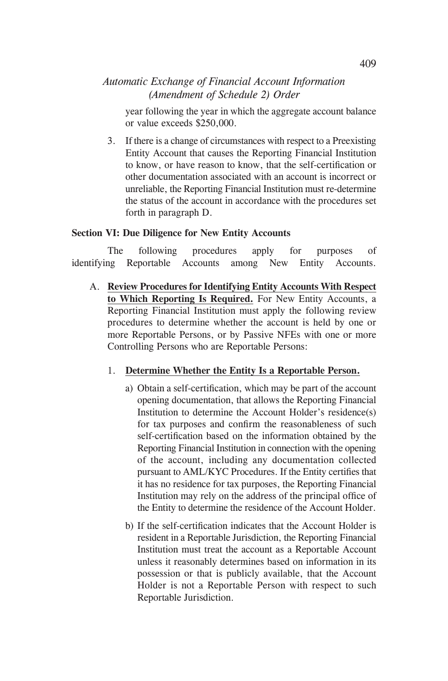year following the year in which the aggregate account balance or value exceeds \$250,000.

3. If there is a change of circumstances with respect to a Preexisting Entity Account that causes the Reporting Financial Institution to know, or have reason to know, that the self-certification or other documentation associated with an account is incorrect or unreliable, the Reporting Financial Institution must re-determine the status of the account in accordance with the procedures set forth in paragraph D.

#### **Section VI: Due Diligence for New Entity Accounts**

The following procedures apply for purposes of identifying Reportable Accounts among New Entity Accounts.

A. **Review Procedures for Identifying Entity Accounts With Respect to Which Reporting Is Required.** For New Entity Accounts, a Reporting Financial Institution must apply the following review procedures to determine whether the account is held by one or more Reportable Persons, or by Passive NFEs with one or more Controlling Persons who are Reportable Persons:

#### 1. **Determine Whether the Entity Is a Reportable Person.**

- a) Obtain a self-certification, which may be part of the account opening documentation, that allows the Reporting Financial Institution to determine the Account Holder's residence(s) for tax purposes and confirm the reasonableness of such self-certification based on the information obtained by the Reporting Financial Institution in connection with the opening of the account, including any documentation collected pursuant to AML/KYC Procedures. If the Entity certifies that it has no residence for tax purposes, the Reporting Financial Institution may rely on the address of the principal office of the Entity to determine the residence of the Account Holder.
- b) If the self-certification indicates that the Account Holder is resident in a Reportable Jurisdiction, the Reporting Financial Institution must treat the account as a Reportable Account unless it reasonably determines based on information in its possession or that is publicly available, that the Account Holder is not a Reportable Person with respect to such Reportable Jurisdiction.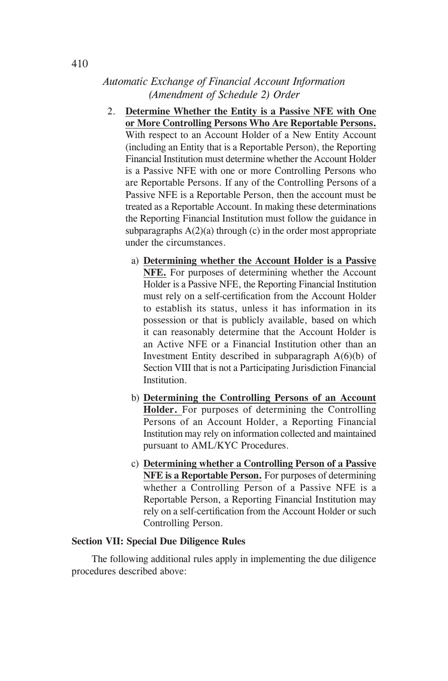- 2. **Determine Whether the Entity is a Passive NFE with One or More Controlling Persons Who Are Reportable Persons.**  With respect to an Account Holder of a New Entity Account (including an Entity that is a Reportable Person), the Reporting Financial Institution must determine whether the Account Holder is a Passive NFE with one or more Controlling Persons who are Reportable Persons. If any of the Controlling Persons of a Passive NFE is a Reportable Person, then the account must be treated as a Reportable Account. In making these determinations the Reporting Financial Institution must follow the guidance in subparagraphs  $A(2)(a)$  through (c) in the order most appropriate under the circumstances.
	- a) **Determining whether the Account Holder is a Passive NFE.** For purposes of determining whether the Account Holder is a Passive NFE, the Reporting Financial Institution must rely on a self-certification from the Account Holder to establish its status, unless it has information in its possession or that is publicly available, based on which it can reasonably determine that the Account Holder is an Active NFE or a Financial Institution other than an Investment Entity described in subparagraph A(6)(b) of Section VIII that is not a Participating Jurisdiction Financial **Institution**
	- b) **Determining the Controlling Persons of an Account Holder.** For purposes of determining the Controlling Persons of an Account Holder, a Reporting Financial Institution may rely on information collected and maintained pursuant to AML/KYC Procedures.
	- c) **Determining whether a Controlling Person of a Passive NFE is a Reportable Person.** For purposes of determining whether a Controlling Person of a Passive NFE is a Reportable Person, a Reporting Financial Institution may rely on a self-certification from the Account Holder or such Controlling Person.

#### **Section VII: Special Due Diligence Rules**

 The following additional rules apply in implementing the due diligence procedures described above: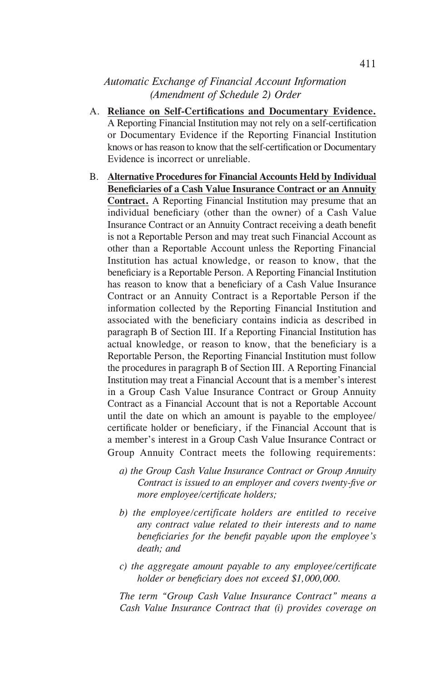- A. **Reliance on Self-Certifications and Documentary Evidence.**  A Reporting Financial Institution may not rely on a self-certification or Documentary Evidence if the Reporting Financial Institution knows or has reason to know that the self-certification or Documentary Evidence is incorrect or unreliable.
- B. **Alternative Procedures for Financial Accounts Held by Individual Beneficiaries of a Cash Value Insurance Contract or an Annuity Contract.** A Reporting Financial Institution may presume that an individual beneficiary (other than the owner) of a Cash Value Insurance Contract or an Annuity Contract receiving a death benefit is not a Reportable Person and may treat such Financial Account as other than a Reportable Account unless the Reporting Financial Institution has actual knowledge, or reason to know, that the beneficiary is a Reportable Person. A Reporting Financial Institution has reason to know that a beneficiary of a Cash Value Insurance Contract or an Annuity Contract is a Reportable Person if the information collected by the Reporting Financial Institution and associated with the beneficiary contains indicia as described in paragraph B of Section III. If a Reporting Financial Institution has actual knowledge, or reason to know, that the beneficiary is a Reportable Person, the Reporting Financial Institution must follow the procedures in paragraph B of Section III. A Reporting Financial Institution may treat a Financial Account that is a member's interest in a Group Cash Value Insurance Contract or Group Annuity Contract as a Financial Account that is not a Reportable Account until the date on which an amount is payable to the employee/ certificate holder or beneficiary, if the Financial Account that is a member's interest in a Group Cash Value Insurance Contract or Group Annuity Contract meets the following requirements:
	- *a) the Group Cash Value Insurance Contract or Group Annuity Contract is issued to an employer and covers twenty-five or more employee/certificate holders;*
	- *b) the employee/certificate holders are entitled to receive any contract value related to their interests and to name beneficiaries for the benefit payable upon the employee's death; and*
	- *c) the aggregate amount payable to any employee/certificate holder or beneficiary does not exceed \$1,000,000.*

*The term "Group Cash Value Insurance Contract" means a Cash Value Insurance Contract that (i) provides coverage on*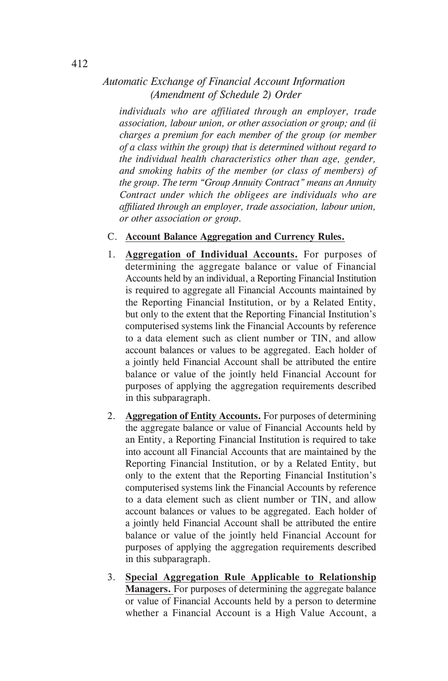*individuals who are affiliated through an employer, trade association, labour union, or other association or group; and (ii charges a premium for each member of the group (or member of a class within the group) that is determined without regard to the individual health characteristics other than age, gender, and smoking habits of the member (or class of members) of the group. The term "Group Annuity Contract" means an Annuity Contract under which the obligees are individuals who are affiliated through an employer, trade association, labour union, or other association or group.*

- C. **Account Balance Aggregation and Currency Rules.**
- 1. **Aggregation of Individual Accounts.** For purposes of determining the aggregate balance or value of Financial Accounts held by an individual, a Reporting Financial Institution is required to aggregate all Financial Accounts maintained by the Reporting Financial Institution, or by a Related Entity, but only to the extent that the Reporting Financial Institution's computerised systems link the Financial Accounts by reference to a data element such as client number or TIN, and allow account balances or values to be aggregated. Each holder of a jointly held Financial Account shall be attributed the entire balance or value of the jointly held Financial Account for purposes of applying the aggregation requirements described in this subparagraph.
- 2. **Aggregation of Entity Accounts.** For purposes of determining the aggregate balance or value of Financial Accounts held by an Entity, a Reporting Financial Institution is required to take into account all Financial Accounts that are maintained by the Reporting Financial Institution, or by a Related Entity, but only to the extent that the Reporting Financial Institution's computerised systems link the Financial Accounts by reference to a data element such as client number or TIN, and allow account balances or values to be aggregated. Each holder of a jointly held Financial Account shall be attributed the entire balance or value of the jointly held Financial Account for purposes of applying the aggregation requirements described in this subparagraph.
- 3. **Special Aggregation Rule Applicable to Relationship Managers.** For purposes of determining the aggregate balance or value of Financial Accounts held by a person to determine whether a Financial Account is a High Value Account, a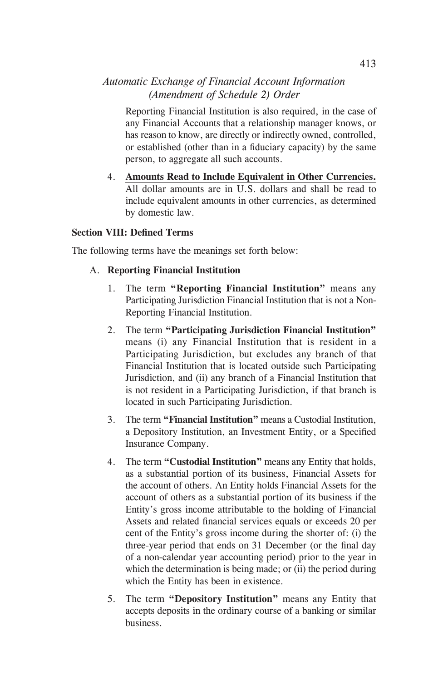Reporting Financial Institution is also required, in the case of any Financial Accounts that a relationship manager knows, or has reason to know, are directly or indirectly owned, controlled, or established (other than in a fiduciary capacity) by the same person, to aggregate all such accounts.

4. **Amounts Read to Include Equivalent in Other Currencies.**  All dollar amounts are in U.S. dollars and shall be read to include equivalent amounts in other currencies, as determined by domestic law.

#### **Section VIII: Defined Terms**

The following terms have the meanings set forth below:

#### A. **Reporting Financial Institution**

- 1. The term **"Reporting Financial Institution"** means any Participating Jurisdiction Financial Institution that is not a Non-Reporting Financial Institution.
- 2. The term **"Participating Jurisdiction Financial Institution"** means (i) any Financial Institution that is resident in a Participating Jurisdiction, but excludes any branch of that Financial Institution that is located outside such Participating Jurisdiction, and (ii) any branch of a Financial Institution that is not resident in a Participating Jurisdiction, if that branch is located in such Participating Jurisdiction.
- 3. The term **"Financial Institution"** means a Custodial Institution, a Depository Institution, an Investment Entity, or a Specified Insurance Company.
- 4. The term **"Custodial Institution"** means any Entity that holds, as a substantial portion of its business, Financial Assets for the account of others. An Entity holds Financial Assets for the account of others as a substantial portion of its business if the Entity's gross income attributable to the holding of Financial Assets and related financial services equals or exceeds 20 per cent of the Entity's gross income during the shorter of: (i) the three-year period that ends on 31 December (or the final day of a non-calendar year accounting period) prior to the year in which the determination is being made; or (ii) the period during which the Entity has been in existence.
- 5. The term **"Depository Institution"** means any Entity that accepts deposits in the ordinary course of a banking or similar business.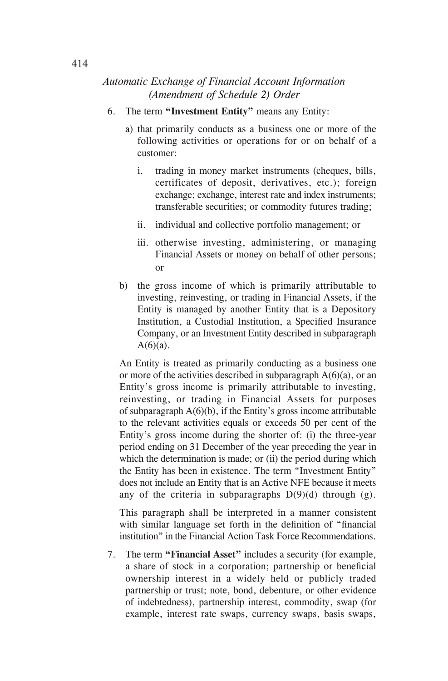- 6. The term **"Investment Entity"** means any Entity:
	- a) that primarily conducts as a business one or more of the following activities or operations for or on behalf of a customer:
		- i. trading in money market instruments (cheques, bills, certificates of deposit, derivatives, etc.); foreign exchange; exchange, interest rate and index instruments; transferable securities; or commodity futures trading;
		- ii. individual and collective portfolio management; or
		- iii. otherwise investing, administering, or managing Financial Assets or money on behalf of other persons; or
	- b) the gross income of which is primarily attributable to investing, reinvesting, or trading in Financial Assets, if the Entity is managed by another Entity that is a Depository Institution, a Custodial Institution, a Specified Insurance Company, or an Investment Entity described in subparagraph  $A(6)(a)$ .

An Entity is treated as primarily conducting as a business one or more of the activities described in subparagraph  $A(6)(a)$ , or an Entity's gross income is primarily attributable to investing, reinvesting, or trading in Financial Assets for purposes of subparagraph  $A(6)(b)$ , if the Entity's gross income attributable to the relevant activities equals or exceeds 50 per cent of the Entity's gross income during the shorter of: (i) the three-year period ending on 31 December of the year preceding the year in which the determination is made; or (ii) the period during which the Entity has been in existence. The term "Investment Entity" does not include an Entity that is an Active NFE because it meets any of the criteria in subparagraphs  $D(9)(d)$  through (g).

This paragraph shall be interpreted in a manner consistent with similar language set forth in the definition of "financial institution" in the Financial Action Task Force Recommendations.

7. The term **"Financial Asset"** includes a security (for example, a share of stock in a corporation; partnership or beneficial ownership interest in a widely held or publicly traded partnership or trust; note, bond, debenture, or other evidence of indebtedness), partnership interest, commodity, swap (for example, interest rate swaps, currency swaps, basis swaps,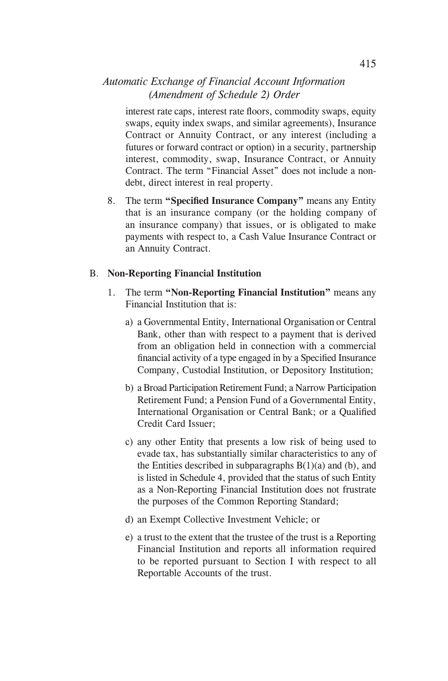interest rate caps, interest rate floors, commodity swaps, equity swaps, equity index swaps, and similar agreements), Insurance Contract or Annuity Contract, or any interest (including a futures or forward contract or option) in a security, partnership interest, commodity, swap, Insurance Contract, or Annuity Contract. The term "Financial Asset" does not include a nondebt, direct interest in real property.

8. The term **"Specified Insurance Company"** means any Entity that is an insurance company (or the holding company of an insurance company) that issues, or is obligated to make payments with respect to, a Cash Value Insurance Contract or an Annuity Contract.

#### B. **Non-Reporting Financial Institution**

- 1. The term **"Non-Reporting Financial Institution"** means any Financial Institution that is:
	- a) a Governmental Entity, International Organisation or Central Bank, other than with respect to a payment that is derived from an obligation held in connection with a commercial financial activity of a type engaged in by a Specified Insurance Company, Custodial Institution, or Depository Institution;
	- b) a Broad Participation Retirement Fund; a Narrow Participation Retirement Fund; a Pension Fund of a Governmental Entity, International Organisation or Central Bank; or a Qualified Credit Card Issuer;
	- c) any other Entity that presents a low risk of being used to evade tax, has substantially similar characteristics to any of the Entities described in subparagraphs  $B(1)(a)$  and (b), and is listed in Schedule 4, provided that the status of such Entity as a Non-Reporting Financial Institution does not frustrate the purposes of the Common Reporting Standard;
	- d) an Exempt Collective Investment Vehicle; or
	- e) a trust to the extent that the trustee of the trust is a Reporting Financial Institution and reports all information required to be reported pursuant to Section I with respect to all Reportable Accounts of the trust.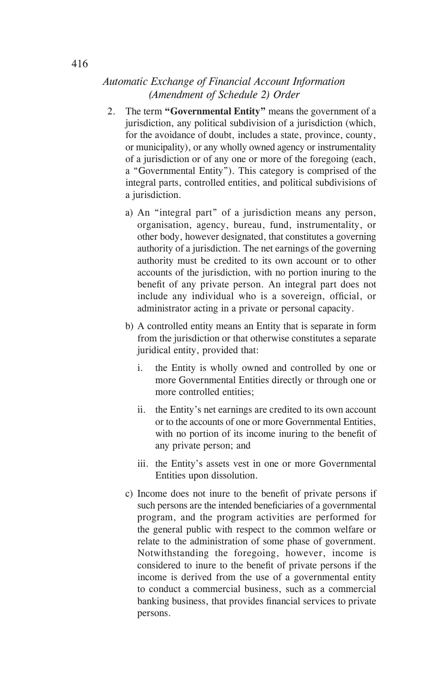- 2. The term **"Governmental Entity"** means the government of a jurisdiction, any political subdivision of a jurisdiction (which, for the avoidance of doubt, includes a state, province, county, or municipality), or any wholly owned agency or instrumentality of a jurisdiction or of any one or more of the foregoing (each, a "Governmental Entity"). This category is comprised of the integral parts, controlled entities, and political subdivisions of a jurisdiction.
	- a) An "integral part" of a jurisdiction means any person, organisation, agency, bureau, fund, instrumentality, or other body, however designated, that constitutes a governing authority of a jurisdiction. The net earnings of the governing authority must be credited to its own account or to other accounts of the jurisdiction, with no portion inuring to the benefit of any private person. An integral part does not include any individual who is a sovereign, official, or administrator acting in a private or personal capacity.
	- b) A controlled entity means an Entity that is separate in form from the jurisdiction or that otherwise constitutes a separate juridical entity, provided that:
		- i. the Entity is wholly owned and controlled by one or more Governmental Entities directly or through one or more controlled entities;
		- ii. the Entity's net earnings are credited to its own account or to the accounts of one or more Governmental Entities, with no portion of its income inuring to the benefit of any private person; and
		- iii. the Entity's assets vest in one or more Governmental Entities upon dissolution.
	- c) Income does not inure to the benefit of private persons if such persons are the intended beneficiaries of a governmental program, and the program activities are performed for the general public with respect to the common welfare or relate to the administration of some phase of government. Notwithstanding the foregoing, however, income is considered to inure to the benefit of private persons if the income is derived from the use of a governmental entity to conduct a commercial business, such as a commercial banking business, that provides financial services to private persons.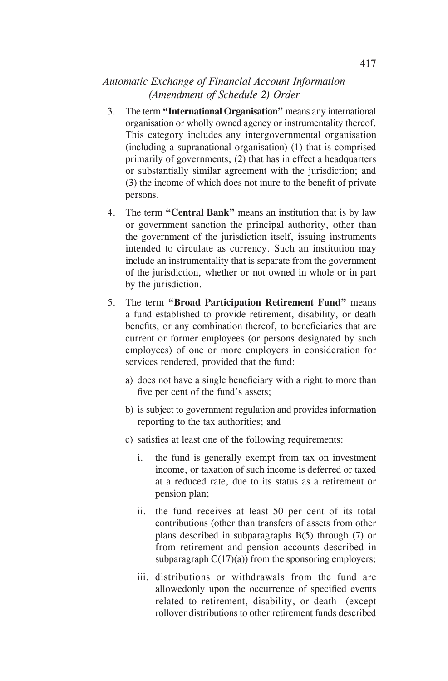- 3. The term **"International Organisation"** means any international organisation or wholly owned agency or instrumentality thereof. This category includes any intergovernmental organisation (including a supranational organisation) (1) that is comprised primarily of governments; (2) that has in effect a headquarters or substantially similar agreement with the jurisdiction; and (3) the income of which does not inure to the benefit of private persons.
- 4. The term **"Central Bank"** means an institution that is by law or government sanction the principal authority, other than the government of the jurisdiction itself, issuing instruments intended to circulate as currency. Such an institution may include an instrumentality that is separate from the government of the jurisdiction, whether or not owned in whole or in part by the jurisdiction.
- 5. The term **"Broad Participation Retirement Fund"** means a fund established to provide retirement, disability, or death benefits, or any combination thereof, to beneficiaries that are current or former employees (or persons designated by such employees) of one or more employers in consideration for services rendered, provided that the fund:
	- a) does not have a single beneficiary with a right to more than five per cent of the fund's assets;
	- b) is subject to government regulation and provides information reporting to the tax authorities; and
	- c) satisfies at least one of the following requirements:
		- i. the fund is generally exempt from tax on investment income, or taxation of such income is deferred or taxed at a reduced rate, due to its status as a retirement or pension plan;
		- ii. the fund receives at least 50 per cent of its total contributions (other than transfers of assets from other plans described in subparagraphs B(5) through (7) or from retirement and pension accounts described in subparagraph  $C(17)(a)$  from the sponsoring employers;
		- iii. distributions or withdrawals from the fund are allowedonly upon the occurrence of specified events related to retirement, disability, or death (except rollover distributions to other retirement funds described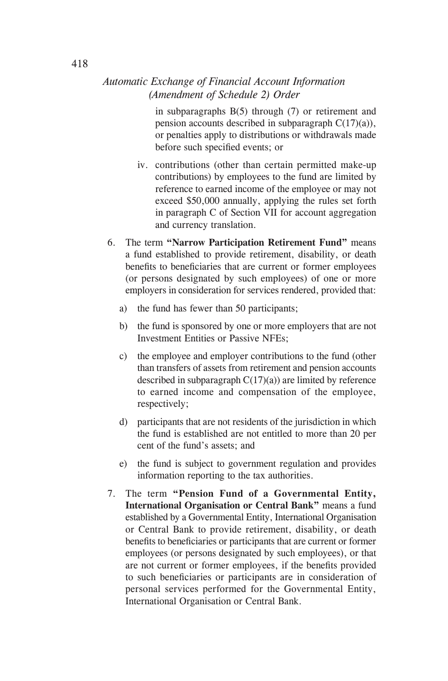in subparagraphs B(5) through (7) or retirement and pension accounts described in subparagraph  $C(17)(a)$ ), or penalties apply to distributions or withdrawals made before such specified events; or

- iv. contributions (other than certain permitted make-up contributions) by employees to the fund are limited by reference to earned income of the employee or may not exceed \$50,000 annually, applying the rules set forth in paragraph C of Section VII for account aggregation and currency translation.
- 6. The term **"Narrow Participation Retirement Fund"** means a fund established to provide retirement, disability, or death benefits to beneficiaries that are current or former employees (or persons designated by such employees) of one or more employers in consideration for services rendered, provided that:
	- a) the fund has fewer than 50 participants;
	- b) the fund is sponsored by one or more employers that are not Investment Entities or Passive NFEs;
	- c) the employee and employer contributions to the fund (other than transfers of assets from retirement and pension accounts described in subparagraph  $C(17)(a)$  are limited by reference to earned income and compensation of the employee, respectively;
	- d) participants that are not residents of the jurisdiction in which the fund is established are not entitled to more than 20 per cent of the fund's assets; and
	- e) the fund is subject to government regulation and provides information reporting to the tax authorities.
- 7. The term **"Pension Fund of a Governmental Entity, International Organisation or Central Bank"** means a fund established by a Governmental Entity, International Organisation or Central Bank to provide retirement, disability, or death benefits to beneficiaries or participants that are current or former employees (or persons designated by such employees), or that are not current or former employees, if the benefits provided to such beneficiaries or participants are in consideration of personal services performed for the Governmental Entity, International Organisation or Central Bank.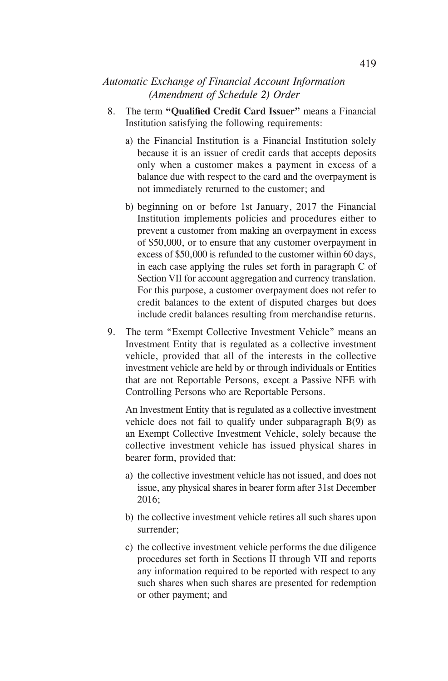- 8. The term **"Qualified Credit Card Issuer"** means a Financial Institution satisfying the following requirements:
	- a) the Financial Institution is a Financial Institution solely because it is an issuer of credit cards that accepts deposits only when a customer makes a payment in excess of a balance due with respect to the card and the overpayment is not immediately returned to the customer; and
	- b) beginning on or before 1st January, 2017 the Financial Institution implements policies and procedures either to prevent a customer from making an overpayment in excess of \$50,000, or to ensure that any customer overpayment in excess of \$50,000 is refunded to the customer within 60 days, in each case applying the rules set forth in paragraph C of Section VII for account aggregation and currency translation. For this purpose, a customer overpayment does not refer to credit balances to the extent of disputed charges but does include credit balances resulting from merchandise returns.
- 9. The term "Exempt Collective Investment Vehicle" means an Investment Entity that is regulated as a collective investment vehicle, provided that all of the interests in the collective investment vehicle are held by or through individuals or Entities that are not Reportable Persons, except a Passive NFE with Controlling Persons who are Reportable Persons.

 An Investment Entity that is regulated as a collective investment vehicle does not fail to qualify under subparagraph B(9) as an Exempt Collective Investment Vehicle, solely because the collective investment vehicle has issued physical shares in bearer form, provided that:

- a) the collective investment vehicle has not issued, and does not issue, any physical shares in bearer form after 31st December 2016;
- b) the collective investment vehicle retires all such shares upon surrender;
- c) the collective investment vehicle performs the due diligence procedures set forth in Sections II through VII and reports any information required to be reported with respect to any such shares when such shares are presented for redemption or other payment; and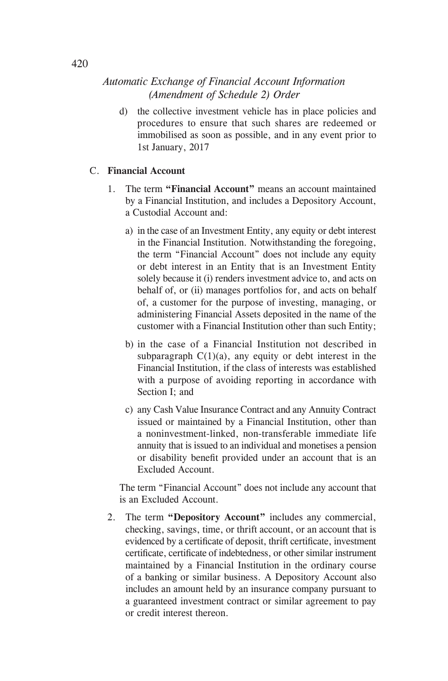d) the collective investment vehicle has in place policies and procedures to ensure that such shares are redeemed or immobilised as soon as possible, and in any event prior to 1st January, 2017

#### C. **Financial Account**

- 1. The term **"Financial Account"** means an account maintained by a Financial Institution, and includes a Depository Account, a Custodial Account and:
	- a) in the case of an Investment Entity, any equity or debt interest in the Financial Institution. Notwithstanding the foregoing, the term "Financial Account" does not include any equity or debt interest in an Entity that is an Investment Entity solely because it (i) renders investment advice to, and acts on behalf of, or (ii) manages portfolios for, and acts on behalf of, a customer for the purpose of investing, managing, or administering Financial Assets deposited in the name of the customer with a Financial Institution other than such Entity;
	- b) in the case of a Financial Institution not described in subparagraph  $C(1)(a)$ , any equity or debt interest in the Financial Institution, if the class of interests was established with a purpose of avoiding reporting in accordance with Section I; and
	- c) any Cash Value Insurance Contract and any Annuity Contract issued or maintained by a Financial Institution, other than a noninvestment-linked, non-transferable immediate life annuity that is issued to an individual and monetises a pension or disability benefit provided under an account that is an Excluded Account.

The term "Financial Account" does not include any account that is an Excluded Account.

2. The term **"Depository Account"** includes any commercial, checking, savings, time, or thrift account, or an account that is evidenced by a certificate of deposit, thrift certificate, investment certificate, certificate of indebtedness, or other similar instrument maintained by a Financial Institution in the ordinary course of a banking or similar business. A Depository Account also includes an amount held by an insurance company pursuant to a guaranteed investment contract or similar agreement to pay or credit interest thereon.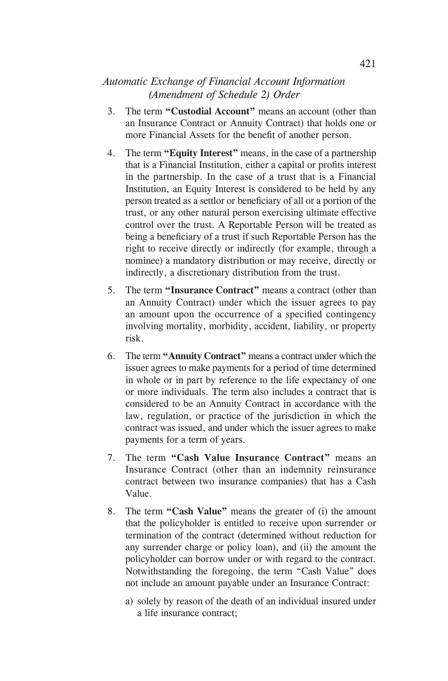- 3. The term **"Custodial Account"** means an account (other than an Insurance Contract or Annuity Contract) that holds one or more Financial Assets for the benefit of another person.
- 4. The term **"Equity Interest"** means, in the case of a partnership that is a Financial Institution, either a capital or profits interest in the partnership. In the case of a trust that is a Financial Institution, an Equity Interest is considered to be held by any person treated as a settlor or beneficiary of all or a portion of the trust, or any other natural person exercising ultimate effective control over the trust. A Reportable Person will be treated as being a beneficiary of a trust if such Reportable Person has the right to receive directly or indirectly (for example, through a nominee) a mandatory distribution or may receive, directly or indirectly, a discretionary distribution from the trust.
- 5. The term **"Insurance Contract"** means a contract (other than an Annuity Contract) under which the issuer agrees to pay an amount upon the occurrence of a specified contingency involving mortality, morbidity, accident, liability, or property risk.
- 6. The term **"Annuity Contract"** means a contract under which the issuer agrees to make payments for a period of time determined in whole or in part by reference to the life expectancy of one or more individuals. The term also includes a contract that is considered to be an Annuity Contract in accordance with the law, regulation, or practice of the jurisdiction in which the contract was issued, and under which the issuer agrees to make payments for a term of years.
- 7. The term **"Cash Value Insurance Contract"** means an Insurance Contract (other than an indemnity reinsurance contract between two insurance companies) that has a Cash Value.
- 8. The term **"Cash Value"** means the greater of (i) the amount that the policyholder is entitled to receive upon surrender or termination of the contract (determined without reduction for any surrender charge or policy loan), and (ii) the amount the policyholder can borrow under or with regard to the contract. Notwithstanding the foregoing, the term "Cash Value" does not include an amount payable under an Insurance Contract:
	- a) solely by reason of the death of an individual insured under a life insurance contract;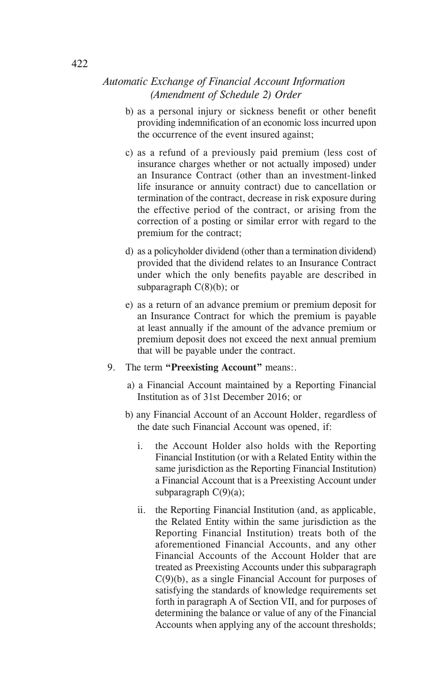- b) as a personal injury or sickness benefit or other benefit providing indemnification of an economic loss incurred upon the occurrence of the event insured against;
- c) as a refund of a previously paid premium (less cost of insurance charges whether or not actually imposed) under an Insurance Contract (other than an investment-linked life insurance or annuity contract) due to cancellation or termination of the contract, decrease in risk exposure during the effective period of the contract, or arising from the correction of a posting or similar error with regard to the premium for the contract;
- d) as a policyholder dividend (other than a termination dividend) provided that the dividend relates to an Insurance Contract under which the only benefits payable are described in subparagraph  $C(8)(b)$ ; or
- e) as a return of an advance premium or premium deposit for an Insurance Contract for which the premium is payable at least annually if the amount of the advance premium or premium deposit does not exceed the next annual premium that will be payable under the contract.
- 9. The term **"Preexisting Account"** means:.
	- a) a Financial Account maintained by a Reporting Financial Institution as of 31st December 2016; or
	- b) any Financial Account of an Account Holder, regardless of the date such Financial Account was opened, if:
		- i. the Account Holder also holds with the Reporting Financial Institution (or with a Related Entity within the same jurisdiction as the Reporting Financial Institution) a Financial Account that is a Preexisting Account under subparagraph  $C(9)(a)$ ;
		- ii. the Reporting Financial Institution (and, as applicable, the Related Entity within the same jurisdiction as the Reporting Financial Institution) treats both of the aforementioned Financial Accounts, and any other Financial Accounts of the Account Holder that are treated as Preexisting Accounts under this subparagraph C(9)(b), as a single Financial Account for purposes of satisfying the standards of knowledge requirements set forth in paragraph A of Section VII, and for purposes of determining the balance or value of any of the Financial Accounts when applying any of the account thresholds;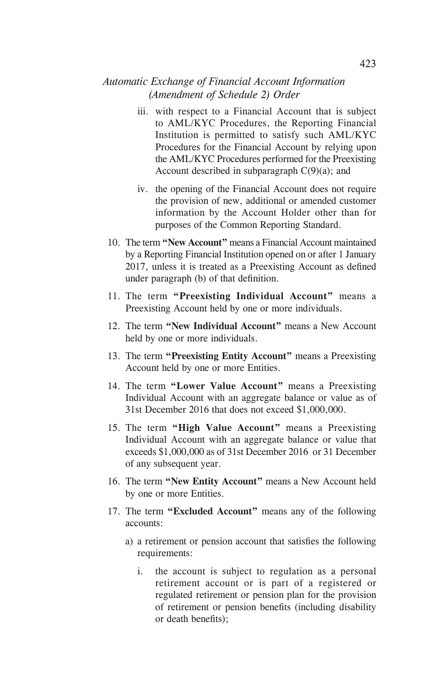- iii. with respect to a Financial Account that is subject to AML/KYC Procedures, the Reporting Financial Institution is permitted to satisfy such AML/KYC Procedures for the Financial Account by relying upon the AML/KYC Procedures performed for the Preexisting Account described in subparagraph  $C(9)(a)$ ; and
- iv. the opening of the Financial Account does not require the provision of new, additional or amended customer information by the Account Holder other than for purposes of the Common Reporting Standard.
- 10. The term **"New Account"** means a Financial Account maintained by a Reporting Financial Institution opened on or after 1 January 2017, unless it is treated as a Preexisting Account as defined under paragraph (b) of that definition.
- 11. The term **"Preexisting Individual Account"** means a Preexisting Account held by one or more individuals.
- 12. The term **"New Individual Account"** means a New Account held by one or more individuals.
- 13. The term **"Preexisting Entity Account"** means a Preexisting Account held by one or more Entities.
- 14. The term **"Lower Value Account"** means a Preexisting Individual Account with an aggregate balance or value as of 31st December 2016 that does not exceed \$1,000,000.
- 15. The term **"High Value Account"** means a Preexisting Individual Account with an aggregate balance or value that exceeds \$1,000,000 as of 31st December 2016 or 31 December of any subsequent year.
- 16. The term **"New Entity Account"** means a New Account held by one or more Entities.
- 17. The term **"Excluded Account"** means any of the following accounts:
	- a) a retirement or pension account that satisfies the following requirements:
		- i. the account is subject to regulation as a personal retirement account or is part of a registered or regulated retirement or pension plan for the provision of retirement or pension benefits (including disability or death benefits);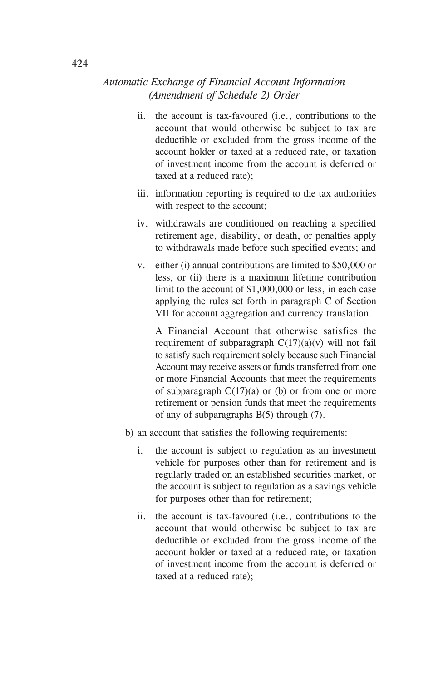- ii. the account is tax-favoured (i.e., contributions to the account that would otherwise be subject to tax are deductible or excluded from the gross income of the account holder or taxed at a reduced rate, or taxation of investment income from the account is deferred or taxed at a reduced rate);
- iii. information reporting is required to the tax authorities with respect to the account;
- iv. withdrawals are conditioned on reaching a specified retirement age, disability, or death, or penalties apply to withdrawals made before such specified events; and
- v. either (i) annual contributions are limited to \$50,000 or less, or (ii) there is a maximum lifetime contribution limit to the account of \$1,000,000 or less, in each case applying the rules set forth in paragraph C of Section VII for account aggregation and currency translation.

A Financial Account that otherwise satisfies the requirement of subparagraph  $C(17)(a)(v)$  will not fail to satisfy such requirement solely because such Financial Account may receive assets or funds transferred from one or more Financial Accounts that meet the requirements of subparagraph  $C(17)(a)$  or (b) or from one or more retirement or pension funds that meet the requirements of any of subparagraphs B(5) through (7).

- b) an account that satisfies the following requirements:
	- i. the account is subject to regulation as an investment vehicle for purposes other than for retirement and is regularly traded on an established securities market, or the account is subject to regulation as a savings vehicle for purposes other than for retirement;
	- ii. the account is tax-favoured (i.e., contributions to the account that would otherwise be subject to tax are deductible or excluded from the gross income of the account holder or taxed at a reduced rate, or taxation of investment income from the account is deferred or taxed at a reduced rate);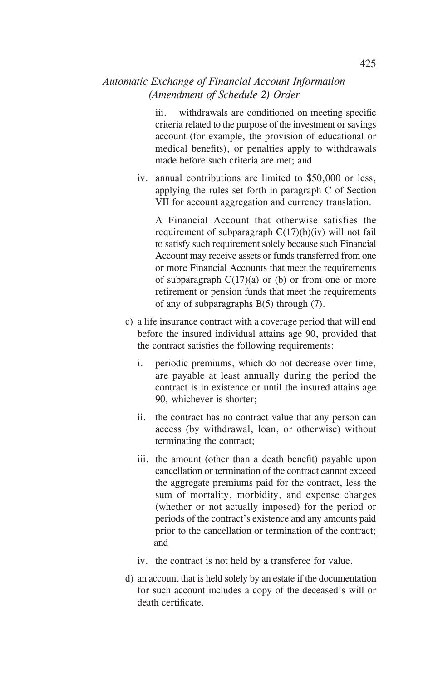iii. withdrawals are conditioned on meeting specific criteria related to the purpose of the investment or savings account (for example, the provision of educational or medical benefits), or penalties apply to withdrawals made before such criteria are met; and

iv. annual contributions are limited to \$50,000 or less, applying the rules set forth in paragraph C of Section VII for account aggregation and currency translation.

A Financial Account that otherwise satisfies the requirement of subparagraph  $C(17)(b)(iv)$  will not fail to satisfy such requirement solely because such Financial Account may receive assets or funds transferred from one or more Financial Accounts that meet the requirements of subparagraph  $C(17)(a)$  or (b) or from one or more retirement or pension funds that meet the requirements of any of subparagraphs B(5) through (7).

- c) a life insurance contract with a coverage period that will end before the insured individual attains age 90, provided that the contract satisfies the following requirements:
	- i. periodic premiums, which do not decrease over time, are payable at least annually during the period the contract is in existence or until the insured attains age 90, whichever is shorter;
	- ii. the contract has no contract value that any person can access (by withdrawal, loan, or otherwise) without terminating the contract;
	- iii. the amount (other than a death benefit) payable upon cancellation or termination of the contract cannot exceed the aggregate premiums paid for the contract, less the sum of mortality, morbidity, and expense charges (whether or not actually imposed) for the period or periods of the contract's existence and any amounts paid prior to the cancellation or termination of the contract; and
	- iv. the contract is not held by a transferee for value.
- d) an account that is held solely by an estate if the documentation for such account includes a copy of the deceased's will or death certificate.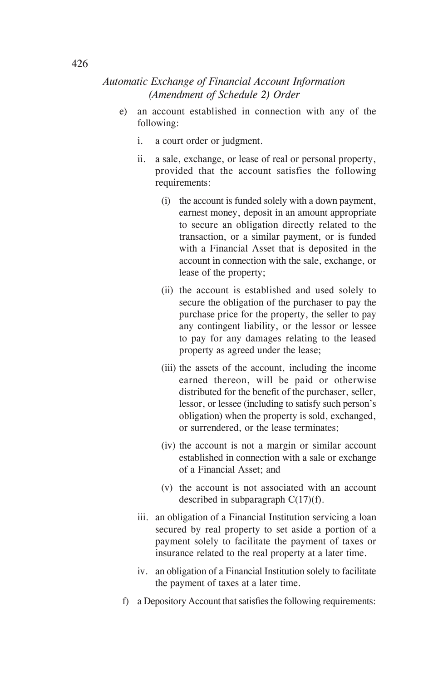- e) an account established in connection with any of the following:
	- i. a court order or judgment.
	- ii. a sale, exchange, or lease of real or personal property, provided that the account satisfies the following requirements:
		- (i) the account is funded solely with a down payment, earnest money, deposit in an amount appropriate to secure an obligation directly related to the transaction, or a similar payment, or is funded with a Financial Asset that is deposited in the account in connection with the sale, exchange, or lease of the property;
		- (ii) the account is established and used solely to secure the obligation of the purchaser to pay the purchase price for the property, the seller to pay any contingent liability, or the lessor or lessee to pay for any damages relating to the leased property as agreed under the lease;
		- (iii) the assets of the account, including the income earned thereon, will be paid or otherwise distributed for the benefit of the purchaser, seller, lessor, or lessee (including to satisfy such person's obligation) when the property is sold, exchanged, or surrendered, or the lease terminates;
		- (iv) the account is not a margin or similar account established in connection with a sale or exchange of a Financial Asset; and
		- (v) the account is not associated with an account described in subparagraph  $C(17)(f)$ .
	- iii. an obligation of a Financial Institution servicing a loan secured by real property to set aside a portion of a payment solely to facilitate the payment of taxes or insurance related to the real property at a later time.
	- iv. an obligation of a Financial Institution solely to facilitate the payment of taxes at a later time.
- f) a Depository Account that satisfies the following requirements: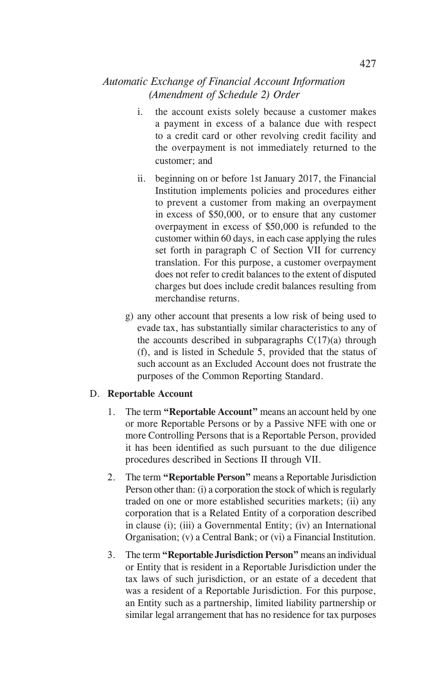- i. the account exists solely because a customer makes a payment in excess of a balance due with respect to a credit card or other revolving credit facility and the overpayment is not immediately returned to the customer; and
- ii. beginning on or before 1st January 2017, the Financial Institution implements policies and procedures either to prevent a customer from making an overpayment in excess of \$50,000, or to ensure that any customer overpayment in excess of \$50,000 is refunded to the customer within 60 days, in each case applying the rules set forth in paragraph C of Section VII for currency translation. For this purpose, a customer overpayment does not refer to credit balances to the extent of disputed charges but does include credit balances resulting from merchandise returns.
- g) any other account that presents a low risk of being used to evade tax, has substantially similar characteristics to any of the accounts described in subparagraphs  $C(17)(a)$  through (f), and is listed in Schedule 5, provided that the status of such account as an Excluded Account does not frustrate the purposes of the Common Reporting Standard.

#### D. **Reportable Account**

- 1. The term **"Reportable Account"** means an account held by one or more Reportable Persons or by a Passive NFE with one or more Controlling Persons that is a Reportable Person, provided it has been identified as such pursuant to the due diligence procedures described in Sections II through VII.
- 2. The term **"Reportable Person"** means a Reportable Jurisdiction Person other than: (i) a corporation the stock of which is regularly traded on one or more established securities markets; (ii) any corporation that is a Related Entity of a corporation described in clause (i); (iii) a Governmental Entity; (iv) an International Organisation; (v) a Central Bank; or (vi) a Financial Institution.
- 3. The term **"Reportable Jurisdiction Person"** means an individual or Entity that is resident in a Reportable Jurisdiction under the tax laws of such jurisdiction, or an estate of a decedent that was a resident of a Reportable Jurisdiction. For this purpose, an Entity such as a partnership, limited liability partnership or similar legal arrangement that has no residence for tax purposes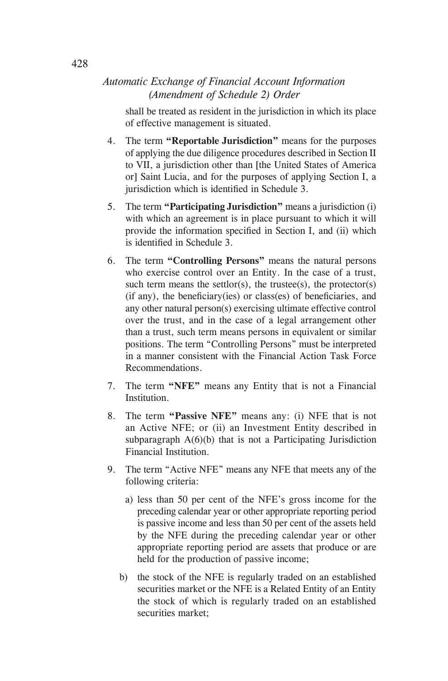shall be treated as resident in the jurisdiction in which its place of effective management is situated.

- 4. The term **"Reportable Jurisdiction"** means for the purposes of applying the due diligence procedures described in Section II to VII, a jurisdiction other than [the United States of America or] Saint Lucia, and for the purposes of applying Section I, a jurisdiction which is identified in Schedule 3.
- 5. The term **"Participating Jurisdiction"** means a jurisdiction (i) with which an agreement is in place pursuant to which it will provide the information specified in Section I, and (ii) which is identified in Schedule 3.
- 6. The term **"Controlling Persons"** means the natural persons who exercise control over an Entity. In the case of a trust, such term means the settlor(s), the trustee(s), the protector(s) (if any), the beneficiary(ies) or class(es) of beneficiaries, and any other natural person(s) exercising ultimate effective control over the trust, and in the case of a legal arrangement other than a trust, such term means persons in equivalent or similar positions. The term "Controlling Persons" must be interpreted in a manner consistent with the Financial Action Task Force Recommendations.
- 7. The term **"NFE"** means any Entity that is not a Financial **Institution**
- 8. The term **"Passive NFE"** means any: (i) NFE that is not an Active NFE; or (ii) an Investment Entity described in subparagraph  $A(6)(b)$  that is not a Participating Jurisdiction Financial Institution.
- 9. The term "Active NFE" means any NFE that meets any of the following criteria:
	- a) less than 50 per cent of the NFE's gross income for the preceding calendar year or other appropriate reporting period is passive income and less than 50 per cent of the assets held by the NFE during the preceding calendar year or other appropriate reporting period are assets that produce or are held for the production of passive income;
	- b) the stock of the NFE is regularly traded on an established securities market or the NFE is a Related Entity of an Entity the stock of which is regularly traded on an established securities market: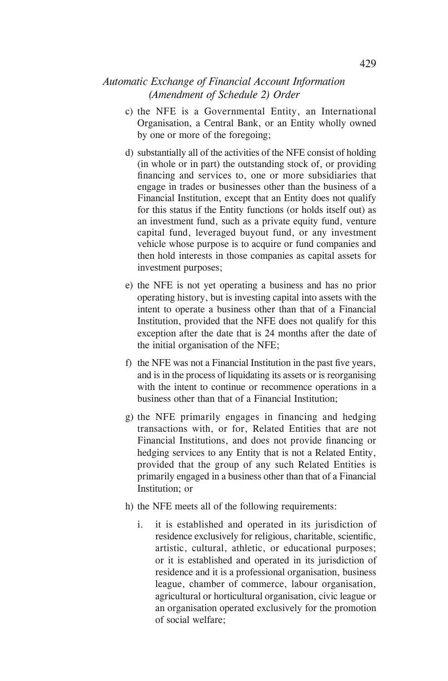- c) the NFE is a Governmental Entity, an International Organisation, a Central Bank, or an Entity wholly owned by one or more of the foregoing;
- d) substantially all of the activities of the NFE consist of holding (in whole or in part) the outstanding stock of, or providing financing and services to, one or more subsidiaries that engage in trades or businesses other than the business of a Financial Institution, except that an Entity does not qualify for this status if the Entity functions (or holds itself out) as an investment fund, such as a private equity fund, venture capital fund, leveraged buyout fund, or any investment vehicle whose purpose is to acquire or fund companies and then hold interests in those companies as capital assets for investment purposes;
- e) the NFE is not yet operating a business and has no prior operating history, but is investing capital into assets with the intent to operate a business other than that of a Financial Institution, provided that the NFE does not qualify for this exception after the date that is 24 months after the date of the initial organisation of the NFE;
- f) the NFE was not a Financial Institution in the past five years, and is in the process of liquidating its assets or is reorganising with the intent to continue or recommence operations in a business other than that of a Financial Institution;
- g) the NFE primarily engages in financing and hedging transactions with, or for, Related Entities that are not Financial Institutions, and does not provide financing or hedging services to any Entity that is not a Related Entity, provided that the group of any such Related Entities is primarily engaged in a business other than that of a Financial Institution; or
- h) the NFE meets all of the following requirements:
	- i. it is established and operated in its jurisdiction of residence exclusively for religious, charitable, scientific, artistic, cultural, athletic, or educational purposes; or it is established and operated in its jurisdiction of residence and it is a professional organisation, business league, chamber of commerce, labour organisation, agricultural or horticultural organisation, civic league or an organisation operated exclusively for the promotion of social welfare;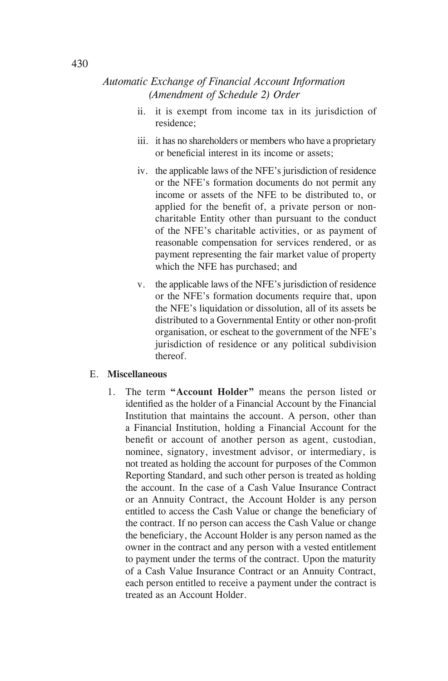- ii. it is exempt from income tax in its jurisdiction of residence;
- iii. it has no shareholders or members who have a proprietary or beneficial interest in its income or assets;
- iv. the applicable laws of the NFE's jurisdiction of residence or the NFE's formation documents do not permit any income or assets of the NFE to be distributed to, or applied for the benefit of, a private person or noncharitable Entity other than pursuant to the conduct of the NFE's charitable activities, or as payment of reasonable compensation for services rendered, or as payment representing the fair market value of property which the NFE has purchased; and
- v. the applicable laws of the NFE's jurisdiction of residence or the NFE's formation documents require that, upon the NFE's liquidation or dissolution, all of its assets be distributed to a Governmental Entity or other non-profit organisation, or escheat to the government of the NFE's jurisdiction of residence or any political subdivision thereof.

#### E. **Miscellaneous**

1. The term **"Account Holder"** means the person listed or identified as the holder of a Financial Account by the Financial Institution that maintains the account. A person, other than a Financial Institution, holding a Financial Account for the benefit or account of another person as agent, custodian, nominee, signatory, investment advisor, or intermediary, is not treated as holding the account for purposes of the Common Reporting Standard, and such other person is treated as holding the account. In the case of a Cash Value Insurance Contract or an Annuity Contract, the Account Holder is any person entitled to access the Cash Value or change the beneficiary of the contract. If no person can access the Cash Value or change the beneficiary, the Account Holder is any person named as the owner in the contract and any person with a vested entitlement to payment under the terms of the contract. Upon the maturity of a Cash Value Insurance Contract or an Annuity Contract, each person entitled to receive a payment under the contract is treated as an Account Holder.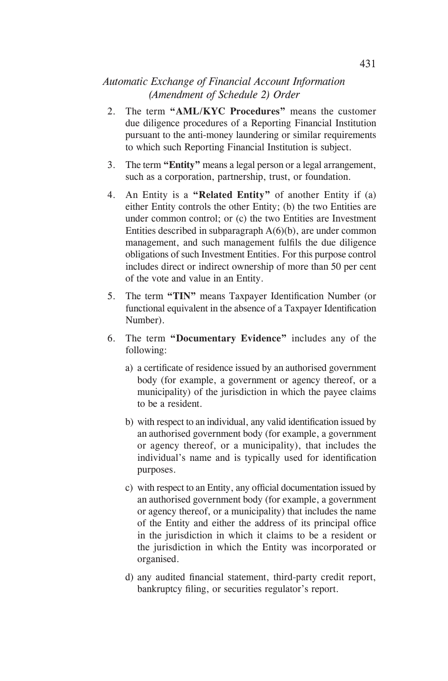- 2. The term **"AML/KYC Procedures"** means the customer due diligence procedures of a Reporting Financial Institution pursuant to the anti-money laundering or similar requirements to which such Reporting Financial Institution is subject.
- 3. The term **"Entity"** means a legal person or a legal arrangement, such as a corporation, partnership, trust, or foundation.
- 4. An Entity is a **"Related Entity"** of another Entity if (a) either Entity controls the other Entity; (b) the two Entities are under common control; or (c) the two Entities are Investment Entities described in subparagraph A(6)(b), are under common management, and such management fulfils the due diligence obligations of such Investment Entities. For this purpose control includes direct or indirect ownership of more than 50 per cent of the vote and value in an Entity.
- 5. The term **"TIN"** means Taxpayer Identification Number (or functional equivalent in the absence of a Taxpayer Identification Number).
- 6. The term **"Documentary Evidence"** includes any of the following:
	- a) a certificate of residence issued by an authorised government body (for example, a government or agency thereof, or a municipality) of the jurisdiction in which the payee claims to be a resident.
	- b) with respect to an individual, any valid identification issued by an authorised government body (for example, a government or agency thereof, or a municipality), that includes the individual's name and is typically used for identification purposes.
	- c) with respect to an Entity, any official documentation issued by an authorised government body (for example, a government or agency thereof, or a municipality) that includes the name of the Entity and either the address of its principal office in the jurisdiction in which it claims to be a resident or the jurisdiction in which the Entity was incorporated or organised.
	- d) any audited financial statement, third-party credit report, bankruptcy filing, or securities regulator's report.